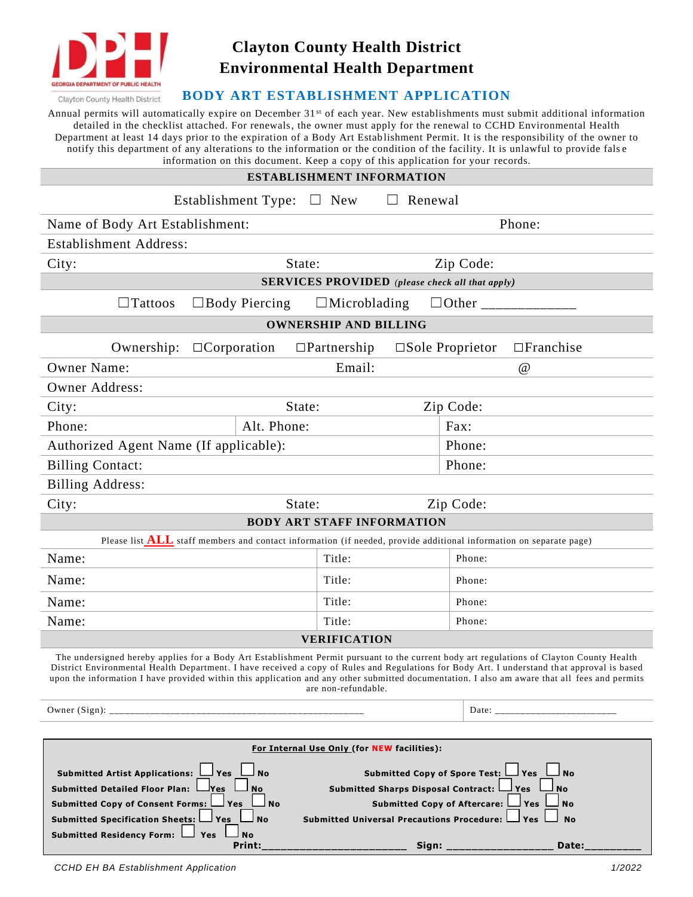

## **Clayton County Health District Environmental Health Department**

## **BODY ART ESTABLISHMENT APPLICATION**

Annual permits will automatically expire on December  $31<sup>st</sup>$  of each year. New establishments must submit additional information detailed in the checklist attached. For renewals, the owner must apply for the renewal to CCHD Environmental Health Department at least 14 days prior to the expiration of a Body Art Estab lishment Permit. It is the responsibility of the owner to notify this department of any alterations to the information or the condition of the facility. It is unlawful to provide false  $\tilde{t}$  ion on this document. Keep a copy of this application for

| information on this document. Keep a copy of this application for your records.<br>ESTABLISHMENT INFORMATION                                                                                                                                                                                                                                                                                                                                                    |                     |                |                                               |  |
|-----------------------------------------------------------------------------------------------------------------------------------------------------------------------------------------------------------------------------------------------------------------------------------------------------------------------------------------------------------------------------------------------------------------------------------------------------------------|---------------------|----------------|-----------------------------------------------|--|
| Establishment Type: $\Box$ New                                                                                                                                                                                                                                                                                                                                                                                                                                  |                     | $\Box$ Renewal |                                               |  |
| Name of Body Art Establishment:                                                                                                                                                                                                                                                                                                                                                                                                                                 |                     |                | Phone:                                        |  |
| <b>Establishment Address:</b>                                                                                                                                                                                                                                                                                                                                                                                                                                   |                     |                |                                               |  |
| City:<br>State:                                                                                                                                                                                                                                                                                                                                                                                                                                                 |                     |                | Zip Code:                                     |  |
| <b>SERVICES PROVIDED</b> (please check all that apply)                                                                                                                                                                                                                                                                                                                                                                                                          |                     |                |                                               |  |
| $\Box$ Body Piercing<br>$\Box$ Tattoos                                                                                                                                                                                                                                                                                                                                                                                                                          | $\Box$ Microblading |                |                                               |  |
| <b>OWNERSHIP AND BILLING</b>                                                                                                                                                                                                                                                                                                                                                                                                                                    |                     |                |                                               |  |
| $\Box$ Corporation<br>Ownership:                                                                                                                                                                                                                                                                                                                                                                                                                                | $\Box$ Partnership  |                | $\square$ Sole Proprietor<br>$\Box$ Franchise |  |
| <b>Owner Name:</b>                                                                                                                                                                                                                                                                                                                                                                                                                                              | Email:              |                | $\omega$                                      |  |
| <b>Owner Address:</b>                                                                                                                                                                                                                                                                                                                                                                                                                                           |                     |                |                                               |  |
| City:<br>State:                                                                                                                                                                                                                                                                                                                                                                                                                                                 |                     |                | Zip Code:                                     |  |
| Alt. Phone:<br>Phone:                                                                                                                                                                                                                                                                                                                                                                                                                                           |                     |                | Fax:                                          |  |
| Authorized Agent Name (If applicable):                                                                                                                                                                                                                                                                                                                                                                                                                          |                     |                | Phone:                                        |  |
| <b>Billing Contact:</b>                                                                                                                                                                                                                                                                                                                                                                                                                                         |                     |                | Phone:                                        |  |
| <b>Billing Address:</b>                                                                                                                                                                                                                                                                                                                                                                                                                                         |                     |                |                                               |  |
| State:<br>Zip Code:<br>City:                                                                                                                                                                                                                                                                                                                                                                                                                                    |                     |                |                                               |  |
| <b>BODY ART STAFF INFORMATION</b>                                                                                                                                                                                                                                                                                                                                                                                                                               |                     |                |                                               |  |
| Please list <b>ALL</b> staff members and contact information (if needed, provide additional information on separate page)                                                                                                                                                                                                                                                                                                                                       |                     |                |                                               |  |
| Name:                                                                                                                                                                                                                                                                                                                                                                                                                                                           | Title:              |                | Phone:                                        |  |
| Name:                                                                                                                                                                                                                                                                                                                                                                                                                                                           | Title:              |                | Phone:                                        |  |
| Name:                                                                                                                                                                                                                                                                                                                                                                                                                                                           | Title:              |                | Phone:                                        |  |
| Name:                                                                                                                                                                                                                                                                                                                                                                                                                                                           | Title:              |                | Phone:                                        |  |
| <b>VERIFICATION</b>                                                                                                                                                                                                                                                                                                                                                                                                                                             |                     |                |                                               |  |
| The undersigned hereby applies for a Body Art Establishment Permit pursuant to the current body art regulations of Clayton County Health<br>District Environmental Health Department. I have received a copy of Rules and Regulations for Body Art. I understand that approval is based<br>upon the information I have provided within this application and any other submitted documentation. I also am aware that all fees and permits<br>are non-refundable. |                     |                |                                               |  |
|                                                                                                                                                                                                                                                                                                                                                                                                                                                                 |                     |                | Date: ___________________________             |  |
|                                                                                                                                                                                                                                                                                                                                                                                                                                                                 |                     |                |                                               |  |
| For Internal Use Only (for NEW facilities):<br>Submitted Copy of Spore Test: U Yes<br>Submitted Artist Applications: U Yes<br>⊿ No<br>l No                                                                                                                                                                                                                                                                                                                      |                     |                |                                               |  |

**Submitted Detailed Floor Plan:**  $\Box$  **Yes**  $\Box$  No Submitted Sharps Disposal Contract:  $\Box$  Yes  $\Box$  No Submitted Copy of Consent Forms: Yes No **Submitted Copy of Aftercare:** Yes No Submitted Specification Sheets:  $\Box$  Yes  $\Box$  No Submitted Universal Precautions Procedure:  $\Box$  Yes  $\Box$  No

 **Print:\_\_\_\_\_\_\_\_\_\_\_\_\_\_\_\_\_\_\_\_\_\_\_ Sign: \_\_\_\_\_\_\_\_\_\_\_\_\_\_\_\_\_ Date:\_\_\_\_\_\_\_\_\_**

**Submitted Residency Form:**  $\Box$  **Yes**  $\Box$  **No**